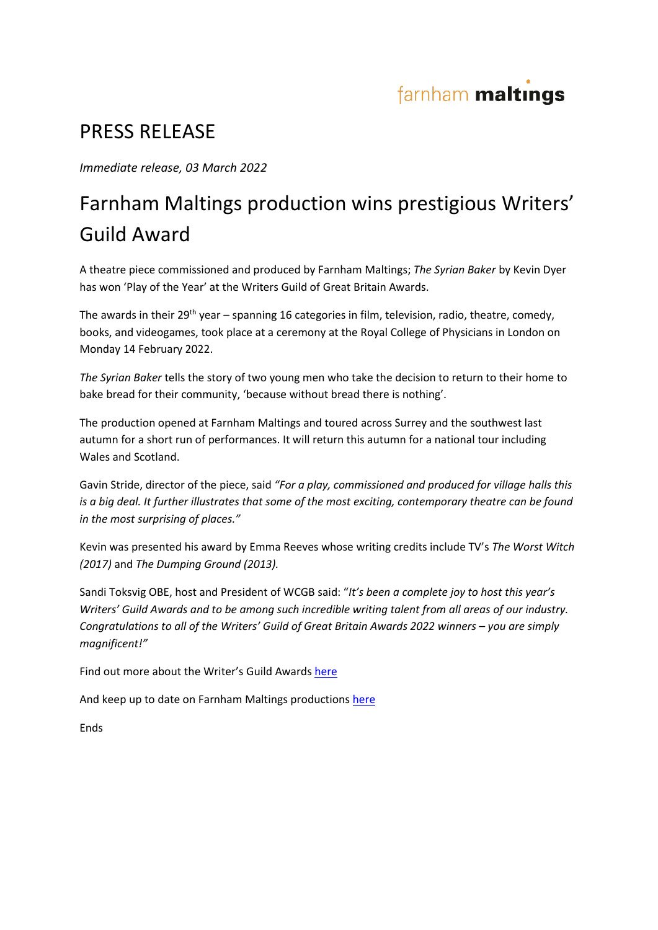## farnham maltings

## PRESS RELEASE

*Immediate release, 03 March 2022*

## Farnham Maltings production wins prestigious Writers' Guild Award

A theatre piece commissioned and produced by Farnham Maltings; *The Syrian Baker* by Kevin Dyer has won 'Play of the Year' at the Writers Guild of Great Britain Awards.

The awards in their 29<sup>th</sup> year – spanning 16 categories in film, television, radio, theatre, comedy, books, and videogames, took place at a ceremony at the Royal College of Physicians in London on Monday 14 February 2022.

*The Syrian Baker* tells the story of two young men who take the decision to return to their home to bake bread for their community, 'because without bread there is nothing'.

The production opened at Farnham Maltings and toured across Surrey and the southwest last autumn for a short run of performances. It will return this autumn for a national tour including Wales and Scotland.

Gavin Stride, director of the piece, said *"For a play, commissioned and produced for village halls this is a big deal. It further illustrates that some of the most exciting, contemporary theatre can be found in the most surprising of places."*

Kevin was presented his award by Emma Reeves whose writing credits include TV's *The Worst Witch (2017)* and *The Dumping Ground (2013).* 

Sandi Toksvig OBE, host and President of WCGB said: "*It's been a complete joy to host this year's Writers' Guild Awards and to be among such incredible writing talent from all areas of our industry. Congratulations to all of the Writers' Guild of Great Britain Awards 2022 winners – you are simply magnificent!"*

Find out more about the Writer's Guild Award[s here](https://writersguild.org.uk/29th-writers-guild-awards-winners/)

And keep up to date on Farnham Maltings productions [here](https://farnhammaltings.com/artists-and-makers/theatre/producing/productions)

Ends